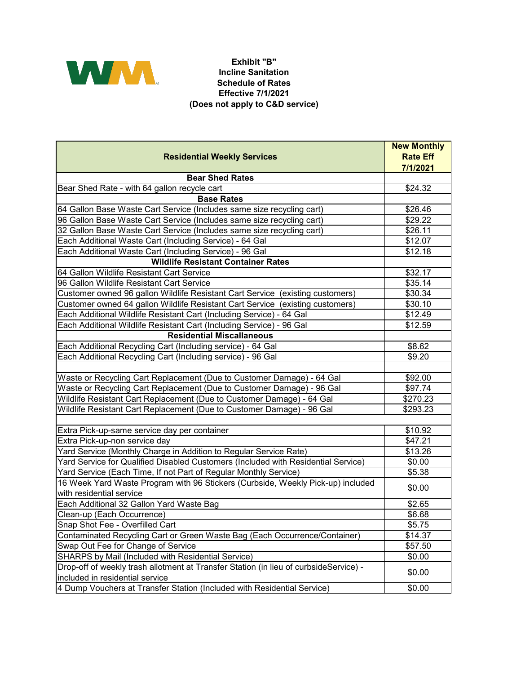

## **Exhibit "B" Incline Sanitation Schedule of Rates Effective 7/1/2021 (Does not apply to C&D service)**

|                                                                                       | <b>New Monthly</b> |
|---------------------------------------------------------------------------------------|--------------------|
| <b>Residential Weekly Services</b>                                                    | <b>Rate Eff</b>    |
|                                                                                       | 7/1/2021           |
| <b>Bear Shed Rates</b>                                                                |                    |
| Bear Shed Rate - with 64 gallon recycle cart                                          | \$24.32            |
| <b>Base Rates</b>                                                                     |                    |
| 64 Gallon Base Waste Cart Service (Includes same size recycling cart)                 | \$26.46            |
| 96 Gallon Base Waste Cart Service (Includes same size recycling cart)                 | \$29.22            |
| 32 Gallon Base Waste Cart Service (Includes same size recycling cart)                 | \$26.11            |
| Each Additional Waste Cart (Including Service) - 64 Gal                               | \$12.07            |
| Each Additional Waste Cart (Including Service) - 96 Gal                               | \$12.18            |
| <b>Wildlife Resistant Container Rates</b>                                             |                    |
| 64 Gallon Wildlife Resistant Cart Service                                             | \$32.17            |
| 96 Gallon Wildlife Resistant Cart Service                                             | \$35.14            |
| Customer owned 96 gallon Wildlife Resistant Cart Service (existing customers)         | \$30.34            |
| Customer owned 64 gallon Wildlife Resistant Cart Service (existing customers)         | \$30.10            |
| Each Additional Wildlife Resistant Cart (Including Service) - 64 Gal                  | \$12.49            |
| Each Additional Wildlife Resistant Cart (Including Service) - 96 Gal                  | \$12.59            |
| <b>Residential Miscallaneous</b>                                                      |                    |
| Each Additional Recycling Cart (Including service) - 64 Gal                           | \$8.62             |
| Each Additional Recycling Cart (Including service) - 96 Gal                           | \$9.20             |
|                                                                                       |                    |
| Waste or Recycling Cart Replacement (Due to Customer Damage) - 64 Gal                 | \$92.00            |
| Waste or Recycling Cart Replacement (Due to Customer Damage) - 96 Gal                 | \$97.74            |
| Wildlife Resistant Cart Replacement (Due to Customer Damage) - 64 Gal                 | \$270.23           |
| Wildlife Resistant Cart Replacement (Due to Customer Damage) - 96 Gal                 | \$293.23           |
|                                                                                       |                    |
| Extra Pick-up-same service day per container                                          | \$10.92            |
| Extra Pick-up-non service day                                                         | \$47.21            |
| Yard Service (Monthly Charge in Addition to Regular Service Rate)                     | \$13.26            |
| Yard Service for Qualified Disabled Customers (Included with Residential Service)     | \$0.00             |
| Yard Service (Each Time, If not Part of Regular Monthly Service)                      | \$5.38             |
| 16 Week Yard Waste Program with 96 Stickers (Curbside, Weekly Pick-up) included       |                    |
| with residential service                                                              | \$0.00             |
| Each Additional 32 Gallon Yard Waste Bag                                              | \$2.65             |
| Clean-up (Each Occurrence)                                                            | \$6.68             |
| Snap Shot Fee - Overfilled Cart                                                       | \$5.75             |
| Contaminated Recycling Cart or Green Waste Bag (Each Occurrence/Container)            | \$14.37            |
| Swap Out Fee for Change of Service                                                    | \$57.50            |
| SHARPS by Mail (Included with Residential Service)                                    | \$0.00             |
| Drop-off of weekly trash allotment at Transfer Station (in lieu of curbsideService) - |                    |
| included in residential service                                                       | \$0.00             |
| 4 Dump Vouchers at Transfer Station (Included with Residential Service)               | \$0.00             |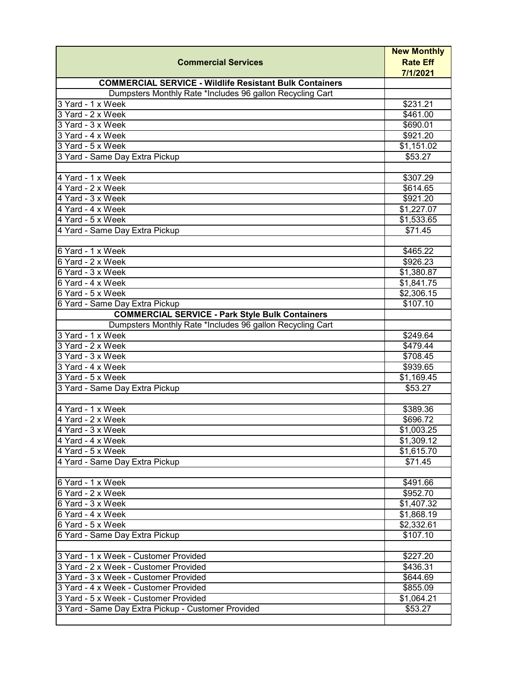|                                                                | <b>New Monthly</b>          |
|----------------------------------------------------------------|-----------------------------|
| <b>Commercial Services</b>                                     | <b>Rate Eff</b><br>7/1/2021 |
| <b>COMMERCIAL SERVICE - Wildlife Resistant Bulk Containers</b> |                             |
| Dumpsters Monthly Rate *Includes 96 gallon Recycling Cart      |                             |
| 3 Yard - 1 x Week                                              | \$231.21                    |
| 3 Yard - 2 x Week                                              | \$461.00                    |
| 3 Yard - 3 x Week                                              | \$690.01                    |
| 3 Yard - 4 x Week                                              | \$921.20                    |
| 3 Yard - 5 x Week                                              | \$1,151.02                  |
| 3 Yard - Same Day Extra Pickup                                 | \$53.27                     |
|                                                                |                             |
| 4 Yard - 1 x Week                                              | \$307.29                    |
| 4 Yard - 2 x Week                                              | \$614.65                    |
| 4 Yard - 3 x Week                                              | \$921.20                    |
| 4 Yard - 4 x Week                                              | \$1,227.07                  |
| 4 Yard - 5 x Week                                              | \$1,533.65                  |
| 4 Yard - Same Day Extra Pickup                                 | \$71.45                     |
| 6 Yard - 1 x Week                                              | \$465.22                    |
| 6 Yard - 2 x Week                                              | \$926.23                    |
| 6 Yard - 3 x Week                                              | \$1,380.87                  |
| 6 Yard - 4 x Week                                              | \$1,841.75                  |
| 6 Yard - 5 x Week                                              | $\overline{$2,306.15}$      |
| 6 Yard - Same Day Extra Pickup                                 | \$107.10                    |
| <b>COMMERCIAL SERVICE - Park Style Bulk Containers</b>         |                             |
| Dumpsters Monthly Rate *Includes 96 gallon Recycling Cart      |                             |
| 3 Yard - 1 x Week                                              | \$249.64                    |
| 3 Yard - 2 x Week                                              | $\frac{1}{1}$ \$479.44      |
| 3 Yard - 3 x Week                                              | \$708.45                    |
| 3 Yard - 4 x Week                                              | \$939.65                    |
| 3 Yard - 5 x Week                                              | \$1,169.45                  |
| 3 Yard - Same Day Extra Pickup                                 | \$53.27                     |
|                                                                |                             |
| 4 Yard - 1 x Week                                              | \$389.36                    |
| 4 Yard - 2 x Week                                              | \$696.72                    |
| 4 Yard - 3 x Week                                              | \$1,003.25                  |
| 4 Yard - 4 x Week                                              | \$1,309.12                  |
| 4 Yard - 5 x Week                                              | \$1,615.70                  |
| 4 Yard - Same Day Extra Pickup                                 | \$71.45                     |
|                                                                |                             |
| 6 Yard - 1 x Week                                              | \$491.66                    |
| 6 Yard - 2 x Week                                              | \$952.70                    |
| 6 Yard - 3 x Week                                              | \$1,407.32                  |
| 6 Yard - 4 x Week                                              | \$1,868.19                  |
| 6 Yard - 5 x Week                                              | \$2,332.61                  |
| 6 Yard - Same Day Extra Pickup                                 | \$107.10                    |
|                                                                |                             |
| 3 Yard - 1 x Week - Customer Provided                          | \$227.20                    |
| 3 Yard - 2 x Week - Customer Provided                          | \$436.31                    |
| 3 Yard - 3 x Week - Customer Provided                          | \$644.69                    |
| 3 Yard - 4 x Week - Customer Provided                          | \$855.09                    |
| 3 Yard - 5 x Week - Customer Provided                          | \$1,064.21                  |
| 3 Yard - Same Day Extra Pickup - Customer Provided             | \$53.27                     |
|                                                                |                             |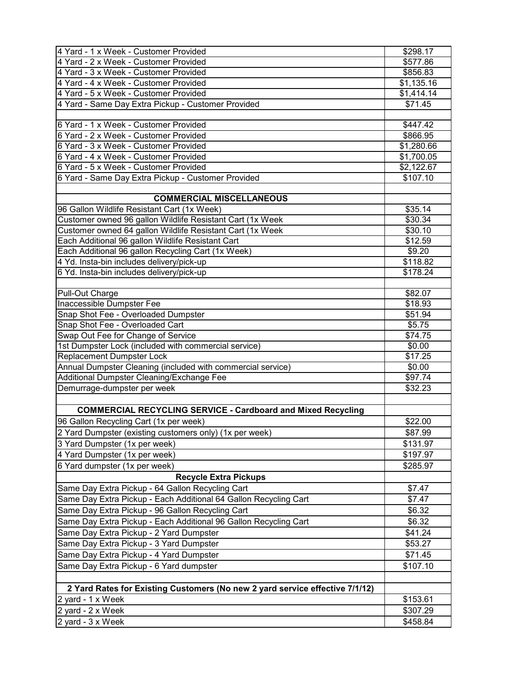| 4 Yard - 2 x Week - Customer Provided                                        | \$577.86   |
|------------------------------------------------------------------------------|------------|
|                                                                              |            |
| 4 Yard - 3 x Week - Customer Provided                                        | \$856.83   |
| 4 Yard - 4 x Week - Customer Provided                                        | \$1,135.16 |
| 4 Yard - 5 x Week - Customer Provided                                        | \$1,414.14 |
| 4 Yard - Same Day Extra Pickup - Customer Provided                           | \$71.45    |
|                                                                              |            |
| 6 Yard - 1 x Week - Customer Provided                                        | \$447.42   |
| 6 Yard - 2 x Week - Customer Provided                                        | \$866.95   |
| 6 Yard - 3 x Week - Customer Provided                                        | \$1,280.66 |
| 6 Yard - 4 x Week - Customer Provided                                        | \$1,700.05 |
| 6 Yard - 5 x Week - Customer Provided                                        | \$2,122.67 |
| 6 Yard - Same Day Extra Pickup - Customer Provided                           | \$107.10   |
|                                                                              |            |
| <b>COMMERCIAL MISCELLANEOUS</b>                                              |            |
| 96 Gallon Wildlife Resistant Cart (1x Week)                                  | \$35.14    |
| Customer owned 96 gallon Wildlife Resistant Cart (1x Week                    | \$30.34    |
| Customer owned 64 gallon Wildlife Resistant Cart (1x Week                    | \$30.10    |
| Each Additional 96 gallon Wildlife Resistant Cart                            | \$12.59    |
| Each Additional 96 gallon Recycling Cart (1x Week)                           | \$9.20     |
| 4 Yd. Insta-bin includes delivery/pick-up                                    | \$118.82   |
| 6 Yd. Insta-bin includes delivery/pick-up                                    | \$178.24   |
|                                                                              |            |
| Pull-Out Charge                                                              | \$82.07    |
| Inaccessible Dumpster Fee                                                    | \$18.93    |
| Snap Shot Fee - Overloaded Dumpster                                          | \$51.94    |
| Snap Shot Fee - Overloaded Cart                                              | \$5.75     |
| Swap Out Fee for Change of Service                                           | \$74.75    |
| 1st Dumpster Lock (included with commercial service)                         | \$0.00     |
| Replacement Dumpster Lock                                                    | \$17.25    |
| Annual Dumpster Cleaning (included with commercial service)                  | \$0.00     |
| Additional Dumpster Cleaning/Exchange Fee                                    | \$97.74    |
| Demurrage-dumpster per week                                                  | \$32.23    |
|                                                                              |            |
| <b>COMMERCIAL RECYCLING SERVICE - Cardboard and Mixed Recycling</b>          |            |
| 96 Gallon Recycling Cart (1x per week)                                       | \$22.00    |
| 2 Yard Dumpster (existing customers only) (1x per week)                      | \$87.99    |
| 3 Yard Dumpster (1x per week)                                                | \$131.97   |
| 4 Yard Dumpster (1x per week)                                                | \$197.97   |
| 6 Yard dumpster (1x per week)                                                | \$285.97   |
| <b>Recycle Extra Pickups</b>                                                 |            |
| Same Day Extra Pickup - 64 Gallon Recycling Cart                             | \$7.47     |
| Same Day Extra Pickup - Each Additional 64 Gallon Recycling Cart             | \$7.47     |
| Same Day Extra Pickup - 96 Gallon Recycling Cart                             | \$6.32     |
| Same Day Extra Pickup - Each Additional 96 Gallon Recycling Cart             | \$6.32     |
| Same Day Extra Pickup - 2 Yard Dumpster                                      | \$41.24    |
| Same Day Extra Pickup - 3 Yard Dumpster                                      | \$53.27    |
| Same Day Extra Pickup - 4 Yard Dumpster                                      | \$71.45    |
| Same Day Extra Pickup - 6 Yard dumpster                                      | \$107.10   |
|                                                                              |            |
| 2 Yard Rates for Existing Customers (No new 2 yard service effective 7/1/12) |            |
| 2 yard - 1 x Week                                                            | \$153.61   |
| 2 yard - 2 x Week                                                            | \$307.29   |
| 2 yard - 3 x Week                                                            | \$458.84   |